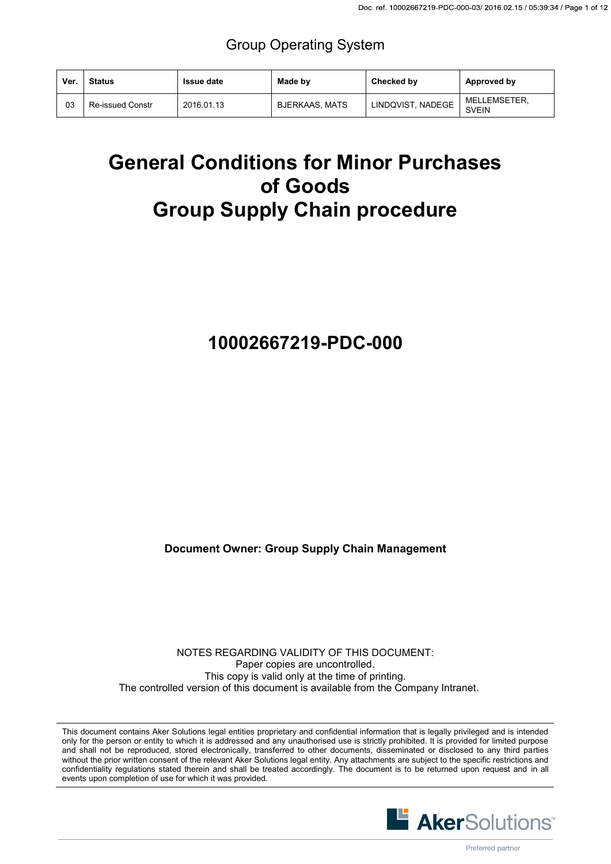### Group Operating System

| Ver. | <b>Status</b>           | <b>Issue date</b> | Made by               | Checked by        | Approved by                  |
|------|-------------------------|-------------------|-----------------------|-------------------|------------------------------|
| 03   | <b>Re-issued Constr</b> | 2016.01.13        | <b>BJERKAAS, MATS</b> | LINDQVIST, NADEGE | MELLEMSETER.<br><b>SVEIN</b> |

# **General Conditions for Minor Purchases of Goods Group Supply Chain procedure**

## **10002667219-PDC-000**

**Document Owner: Group Supply Chain Management** 

NOTES REGARDING VALIDITY OF THIS DOCUMENT: Paper copies are uncontrolled. This copy is valid only at the time of printing. The controlled version of this document is available from the Company Intranet.

This document contains Aker Solutions legal entities proprietary and confidential information that is legally privileged and is intended only for the person or entity to which it is addressed and any unauthorised use is strictly prohibited. It is provided for limited purpose and shall not be reproduced, stored electronically, transferred to other documents, disseminated or disclosed to any third parties without the prior written consent of the relevant Aker Solutions legal entity. Any attachments are subject to the specific restrictions and confidentiality regulations stated therein and shall be treated accordingly. The document is to be returned upon request and in all events upon completion of use for which it was provided.

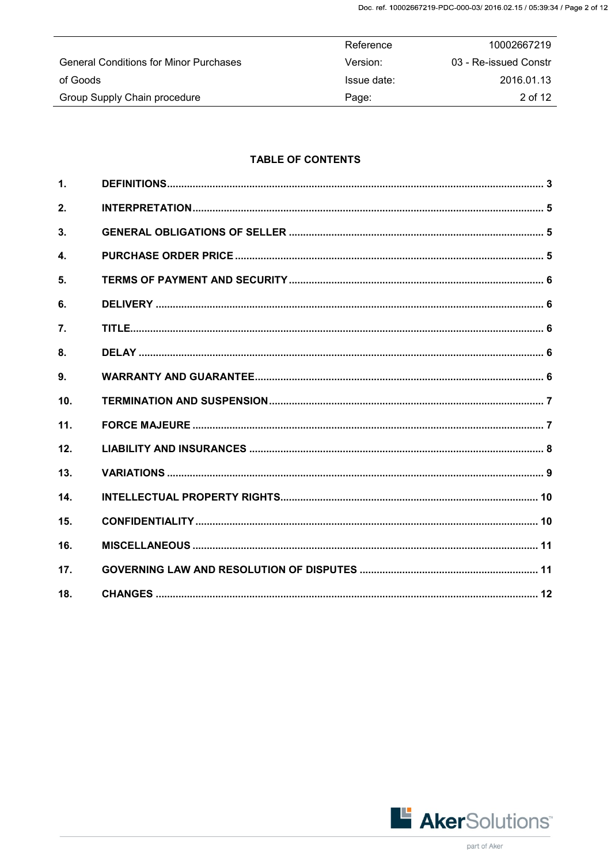|                                               | Reference   | 10002667219           |
|-----------------------------------------------|-------------|-----------------------|
| <b>General Conditions for Minor Purchases</b> | Version:    | 03 - Re-issued Constr |
| of Goods                                      | Issue date: | 2016.01.13            |
| Group Supply Chain procedure                  | Page:       | 2 of 12               |

### **TABLE OF CONTENTS**

| $\mathbf{1}$ .   |  |
|------------------|--|
| 2.               |  |
| 3.               |  |
| $\blacktriangle$ |  |
| 5 <sub>1</sub>   |  |
| 6.               |  |
| 7.               |  |
| 8.               |  |
| 9 <sub>1</sub>   |  |
| 10.              |  |
| 11.              |  |
| 12.              |  |
| 13.              |  |
| 14.              |  |
| 15.              |  |
| 16.              |  |
| 17.              |  |
| 18.              |  |

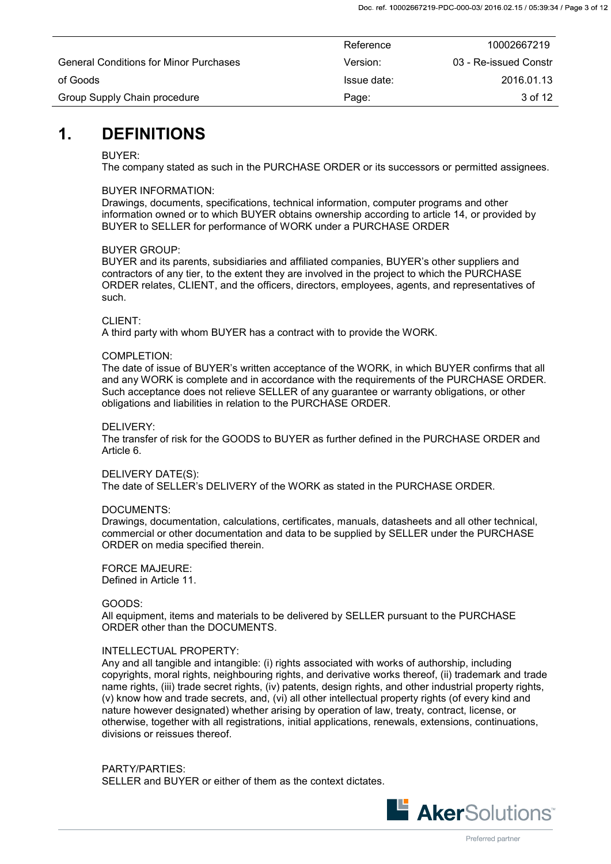|                                               | Reference   | 10002667219           |
|-----------------------------------------------|-------------|-----------------------|
| <b>General Conditions for Minor Purchases</b> | Version:    | 03 - Re-issued Constr |
| of Goods                                      | Issue date: | 2016.01.13            |
| Group Supply Chain procedure                  | Page:       | 3 of 12               |

### <span id="page-2-0"></span>**1. DEFINITIONS**

### BUYER:

The company stated as such in the PURCHASE ORDER or its successors or permitted assignees.

### BUYER INFORMATION:

Drawings, documents, specifications, technical information, computer programs and other information owned or to which BUYER obtains ownership according to article 14, or provided by BUYER to SELLER for performance of WORK under a PURCHASE ORDER

### BUYER GROUP:

BUYER and its parents, subsidiaries and affiliated companies, BUYER's other suppliers and contractors of any tier, to the extent they are involved in the project to which the PURCHASE ORDER relates, CLIENT, and the officers, directors, employees, agents, and representatives of such.

### CLIENT:

A third party with whom BUYER has a contract with to provide the WORK.

### COMPLETION:

The date of issue of BUYER's written acceptance of the WORK, in which BUYER confirms that all and any WORK is complete and in accordance with the requirements of the PURCHASE ORDER. Such acceptance does not relieve SELLER of any guarantee or warranty obligations, or other obligations and liabilities in relation to the PURCHASE ORDER.

### DELIVERY:

The transfer of risk for the GOODS to BUYER as further defined in the PURCHASE ORDER and Article 6.

### DELIVERY DATE(S):

The date of SELLER's DELIVERY of the WORK as stated in the PURCHASE ORDER.

### DOCUMENTS:

Drawings, documentation, calculations, certificates, manuals, datasheets and all other technical, commercial or other documentation and data to be supplied by SELLER under the PURCHASE ORDER on media specified therein.

FORCE MAJEURE: Defined in Article 11.

### GOODS:

All equipment, items and materials to be delivered by SELLER pursuant to the PURCHASE ORDER other than the DOCUMENTS.

### INTELLECTUAL PROPERTY:

Any and all tangible and intangible: (i) rights associated with works of authorship, including copyrights, moral rights, neighbouring rights, and derivative works thereof, (ii) trademark and trade name rights, (iii) trade secret rights, (iv) patents, design rights, and other industrial property rights, (v) know how and trade secrets, and, (vi) all other intellectual property rights (of every kind and nature however designated) whether arising by operation of law, treaty, contract, license, or otherwise, together with all registrations, initial applications, renewals, extensions, continuations, divisions or reissues thereof.

PARTY/PARTIES: SELLER and BUYER or either of them as the context dictates.

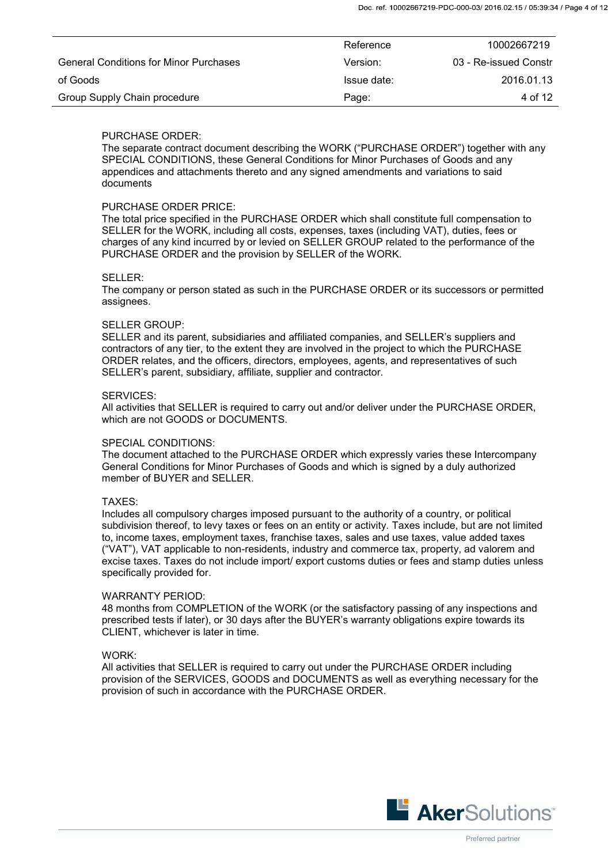|                                               | Reference   | 10002667219           |
|-----------------------------------------------|-------------|-----------------------|
| <b>General Conditions for Minor Purchases</b> | Version:    | 03 - Re-issued Constr |
| of Goods                                      | Issue date: | 2016.01.13            |
| Group Supply Chain procedure                  | Page:       | 4 of 12               |

### PURCHASE ORDER:

The separate contract document describing the WORK ("PURCHASE ORDER") together with any SPECIAL CONDITIONS, these General Conditions for Minor Purchases of Goods and any appendices and attachments thereto and any signed amendments and variations to said documents

#### PURCHASE ORDER PRICE:

The total price specified in the PURCHASE ORDER which shall constitute full compensation to SELLER for the WORK, including all costs, expenses, taxes (including VAT), duties, fees or charges of any kind incurred by or levied on SELLER GROUP related to the performance of the PURCHASE ORDER and the provision by SELLER of the WORK.

#### SELLER:

The company or person stated as such in the PURCHASE ORDER or its successors or permitted assignees.

#### SELLER GROUP:

SELLER and its parent, subsidiaries and affiliated companies, and SELLER's suppliers and contractors of any tier, to the extent they are involved in the project to which the PURCHASE ORDER relates, and the officers, directors, employees, agents, and representatives of such SELLER's parent, subsidiary, affiliate, supplier and contractor.

#### SERVICES:

All activities that SELLER is required to carry out and/or deliver under the PURCHASE ORDER, which are not GOODS or DOCUMENTS.

#### SPECIAL CONDITIONS:

The document attached to the PURCHASE ORDER which expressly varies these Intercompany General Conditions for Minor Purchases of Goods and which is signed by a duly authorized member of BUYER and SELLER.

#### TAXES:

Includes all compulsory charges imposed pursuant to the authority of a country, or political subdivision thereof, to levy taxes or fees on an entity or activity. Taxes include, but are not limited to, income taxes, employment taxes, franchise taxes, sales and use taxes, value added taxes ("VAT"), VAT applicable to non-residents, industry and commerce tax, property, ad valorem and excise taxes. Taxes do not include import/ export customs duties or fees and stamp duties unless specifically provided for.

#### WARRANTY PERIOD:

48 months from COMPLETION of the WORK (or the satisfactory passing of any inspections and prescribed tests if later), or 30 days after the BUYER's warranty obligations expire towards its CLIENT, whichever is later in time.

#### WORK:

All activities that SELLER is required to carry out under the PURCHASE ORDER including provision of the SERVICES, GOODS and DOCUMENTS as well as everything necessary for the provision of such in accordance with the PURCHASE ORDER.

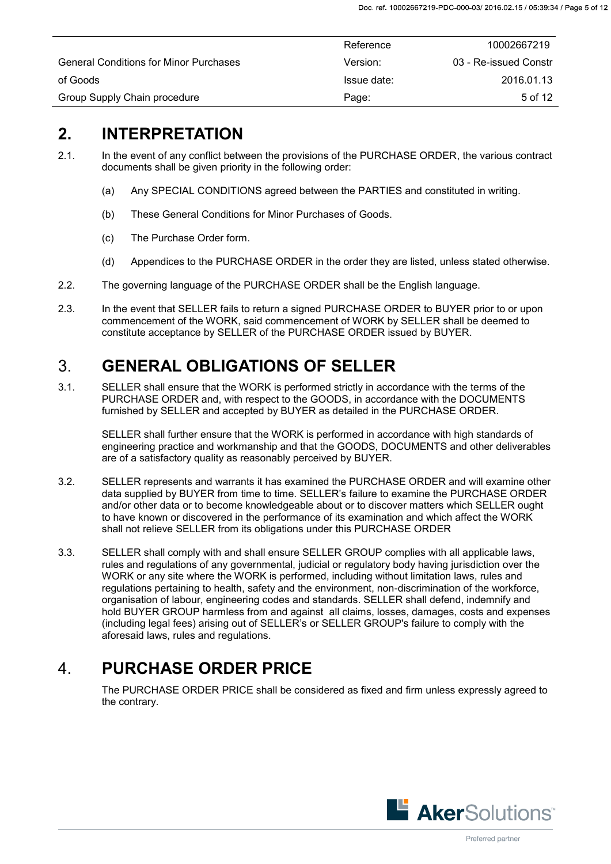|                                               | Reference   | 10002667219           |
|-----------------------------------------------|-------------|-----------------------|
| <b>General Conditions for Minor Purchases</b> | Version:    | 03 - Re-issued Constr |
| of Goods                                      | Issue date: | 2016.01.13            |
| Group Supply Chain procedure                  | Page:       | 5 of 12               |

### <span id="page-4-0"></span>**2. INTERPRETATION**

- 2.1. In the event of any conflict between the provisions of the PURCHASE ORDER, the various contract documents shall be given priority in the following order:
	- (a) Any SPECIAL CONDITIONS agreed between the PARTIES and constituted in writing.
	- (b) These General Conditions for Minor Purchases of Goods.
	- (c) The Purchase Order form.
	- (d) Appendices to the PURCHASE ORDER in the order they are listed, unless stated otherwise.
- 2.2. The governing language of the PURCHASE ORDER shall be the English language.
- 2.3. In the event that SELLER fails to return a signed PURCHASE ORDER to BUYER prior to or upon commencement of the WORK, said commencement of WORK by SELLER shall be deemed to constitute acceptance by SELLER of the PURCHASE ORDER issued by BUYER.

## <span id="page-4-1"></span>3. **GENERAL OBLIGATIONS OF SELLER**

3.1. SELLER shall ensure that the WORK is performed strictly in accordance with the terms of the PURCHASE ORDER and, with respect to the GOODS, in accordance with the DOCUMENTS furnished by SELLER and accepted by BUYER as detailed in the PURCHASE ORDER.

SELLER shall further ensure that the WORK is performed in accordance with high standards of engineering practice and workmanship and that the GOODS, DOCUMENTS and other deliverables are of a satisfactory quality as reasonably perceived by BUYER.

- 3.2. SELLER represents and warrants it has examined the PURCHASE ORDER and will examine other data supplied by BUYER from time to time. SELLER's failure to examine the PURCHASE ORDER and/or other data or to become knowledgeable about or to discover matters which SELLER ought to have known or discovered in the performance of its examination and which affect the WORK shall not relieve SELLER from its obligations under this PURCHASE ORDER
- 3.3. SELLER shall comply with and shall ensure SELLER GROUP complies with all applicable laws, rules and regulations of any governmental, judicial or regulatory body having jurisdiction over the WORK or any site where the WORK is performed, including without limitation laws, rules and regulations pertaining to health, safety and the environment, non-discrimination of the workforce, organisation of labour, engineering codes and standards. SELLER shall defend, indemnify and hold BUYER GROUP harmless from and against all claims, losses, damages, costs and expenses (including legal fees) arising out of SELLER's or SELLER GROUP's failure to comply with the aforesaid laws, rules and regulations.

## <span id="page-4-2"></span>4. **PURCHASE ORDER PRICE**

The PURCHASE ORDER PRICE shall be considered as fixed and firm unless expressly agreed to the contrary.

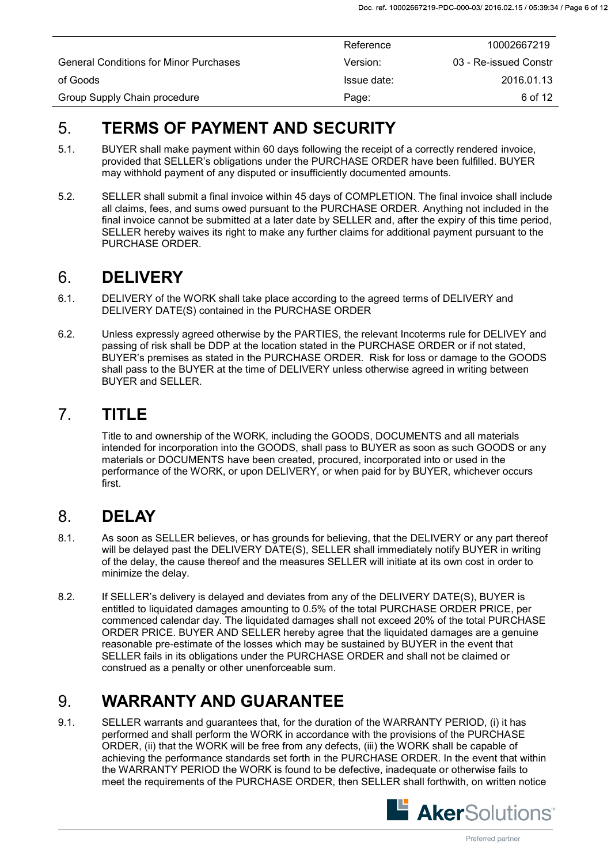|                                               | Reference   | 10002667219           |
|-----------------------------------------------|-------------|-----------------------|
| <b>General Conditions for Minor Purchases</b> | Version:    | 03 - Re-issued Constr |
| of Goods                                      | Issue date: | 2016.01.13            |
| Group Supply Chain procedure                  | Page:       | 6 of 12               |

## <span id="page-5-0"></span>5. **TERMS OF PAYMENT AND SECURITY**

- 5.1. BUYER shall make payment within 60 days following the receipt of a correctly rendered invoice, provided that SELLER's obligations under the PURCHASE ORDER have been fulfilled. BUYER may withhold payment of any disputed or insufficiently documented amounts.
- 5.2. SELLER shall submit a final invoice within 45 days of COMPLETION. The final invoice shall include all claims, fees, and sums owed pursuant to the PURCHASE ORDER. Anything not included in the final invoice cannot be submitted at a later date by SELLER and, after the expiry of this time period, SELLER hereby waives its right to make any further claims for additional payment pursuant to the PURCHASE ORDER.

## <span id="page-5-1"></span>6. **DELIVERY**

- 6.1. DELIVERY of the WORK shall take place according to the agreed terms of DELIVERY and DELIVERY DATE(S) contained in the PURCHASE ORDER
- 6.2. Unless expressly agreed otherwise by the PARTIES, the relevant Incoterms rule for DELIVEY and passing of risk shall be DDP at the location stated in the PURCHASE ORDER or if not stated, BUYER's premises as stated in the PURCHASE ORDER. Risk for loss or damage to the GOODS shall pass to the BUYER at the time of DELIVERY unless otherwise agreed in writing between BUYER and SELLER.

### <span id="page-5-2"></span>7. **TITLE**

Title to and ownership of the WORK, including the GOODS, DOCUMENTS and all materials intended for incorporation into the GOODS, shall pass to BUYER as soon as such GOODS or any materials or DOCUMENTS have been created, procured, incorporated into or used in the performance of the WORK, or upon DELIVERY, or when paid for by BUYER, whichever occurs first.

## <span id="page-5-3"></span>8. **DELAY**

- 8.1. As soon as SELLER believes, or has grounds for believing, that the DELIVERY or any part thereof will be delayed past the DELIVERY DATE(S), SELLER shall immediately notify BUYER in writing of the delay, the cause thereof and the measures SELLER will initiate at its own cost in order to minimize the delay.
- 8.2. If SELLER's delivery is delayed and deviates from any of the DELIVERY DATE(S), BUYER is entitled to liquidated damages amounting to 0.5% of the total PURCHASE ORDER PRICE, per commenced calendar day. The liquidated damages shall not exceed 20% of the total PURCHASE ORDER PRICE. BUYER AND SELLER hereby agree that the liquidated damages are a genuine reasonable pre-estimate of the losses which may be sustained by BUYER in the event that SELLER fails in its obligations under the PURCHASE ORDER and shall not be claimed or construed as a penalty or other unenforceable sum.

## <span id="page-5-4"></span>9. **WARRANTY AND GUARANTEE**

9.1. SELLER warrants and guarantees that, for the duration of the WARRANTY PERIOD, (i) it has performed and shall perform the WORK in accordance with the provisions of the PURCHASE ORDER, (ii) that the WORK will be free from any defects, (iii) the WORK shall be capable of achieving the performance standards set forth in the PURCHASE ORDER. In the event that within the WARRANTY PERIOD the WORK is found to be defective, inadequate or otherwise fails to meet the requirements of the PURCHASE ORDER, then SELLER shall forthwith, on written notice

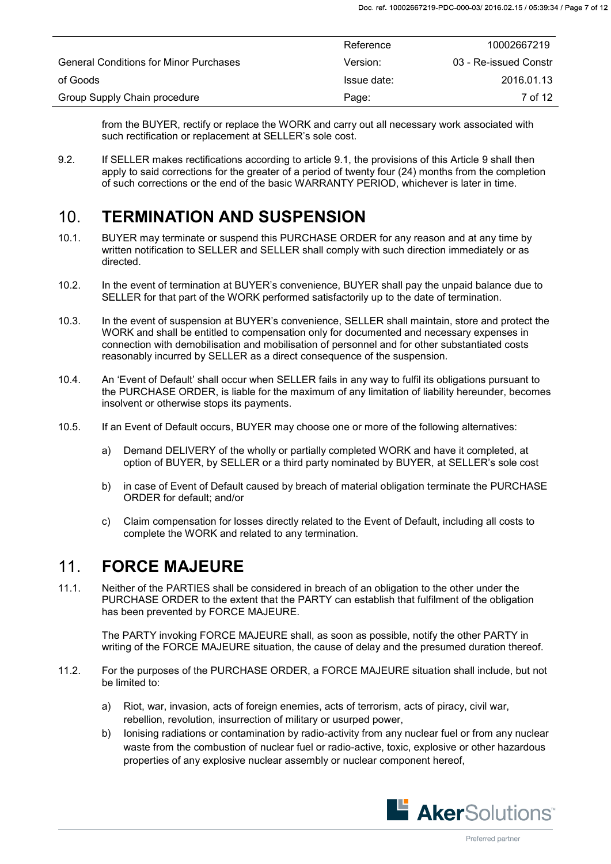|                                               | Reference   | 10002667219           |
|-----------------------------------------------|-------------|-----------------------|
| <b>General Conditions for Minor Purchases</b> | Version:    | 03 - Re-issued Constr |
| of Goods                                      | Issue date: | 2016.01.13            |
| Group Supply Chain procedure                  | Page:       | 7 of 12               |

from the BUYER, rectify or replace the WORK and carry out all necessary work associated with such rectification or replacement at SELLER's sole cost.

9.2. If SELLER makes rectifications according to article 9.1, the provisions of this Article 9 shall then apply to said corrections for the greater of a period of twenty four (24) months from the completion of such corrections or the end of the basic WARRANTY PERIOD, whichever is later in time.

## <span id="page-6-0"></span>10. **TERMINATION AND SUSPENSION**

- 10.1. BUYER may terminate or suspend this PURCHASE ORDER for any reason and at any time by written notification to SELLER and SELLER shall comply with such direction immediately or as directed.
- 10.2. In the event of termination at BUYER's convenience, BUYER shall pay the unpaid balance due to SELLER for that part of the WORK performed satisfactorily up to the date of termination.
- 10.3. In the event of suspension at BUYER's convenience, SELLER shall maintain, store and protect the WORK and shall be entitled to compensation only for documented and necessary expenses in connection with demobilisation and mobilisation of personnel and for other substantiated costs reasonably incurred by SELLER as a direct consequence of the suspension.
- 10.4. An 'Event of Default' shall occur when SELLER fails in any way to fulfil its obligations pursuant to the PURCHASE ORDER, is liable for the maximum of any limitation of liability hereunder, becomes insolvent or otherwise stops its payments.
- 10.5. If an Event of Default occurs, BUYER may choose one or more of the following alternatives:
	- a) Demand DELIVERY of the wholly or partially completed WORK and have it completed, at option of BUYER, by SELLER or a third party nominated by BUYER, at SELLER's sole cost
	- b) in case of Event of Default caused by breach of material obligation terminate the PURCHASE ORDER for default; and/or
	- c) Claim compensation for losses directly related to the Event of Default, including all costs to complete the WORK and related to any termination.

### <span id="page-6-1"></span>11. **FORCE MAJEURE**

11.1. Neither of the PARTIES shall be considered in breach of an obligation to the other under the PURCHASE ORDER to the extent that the PARTY can establish that fulfilment of the obligation has been prevented by FORCE MAJEURE.

The PARTY invoking FORCE MAJEURE shall, as soon as possible, notify the other PARTY in writing of the FORCE MAJEURE situation, the cause of delay and the presumed duration thereof.

- 11.2. For the purposes of the PURCHASE ORDER, a FORCE MAJEURE situation shall include, but not be limited to:
	- a) Riot, war, invasion, acts of foreign enemies, acts of terrorism, acts of piracy, civil war, rebellion, revolution, insurrection of military or usurped power,
	- b) Ionising radiations or contamination by radio-activity from any nuclear fuel or from any nuclear waste from the combustion of nuclear fuel or radio-active, toxic, explosive or other hazardous properties of any explosive nuclear assembly or nuclear component hereof,

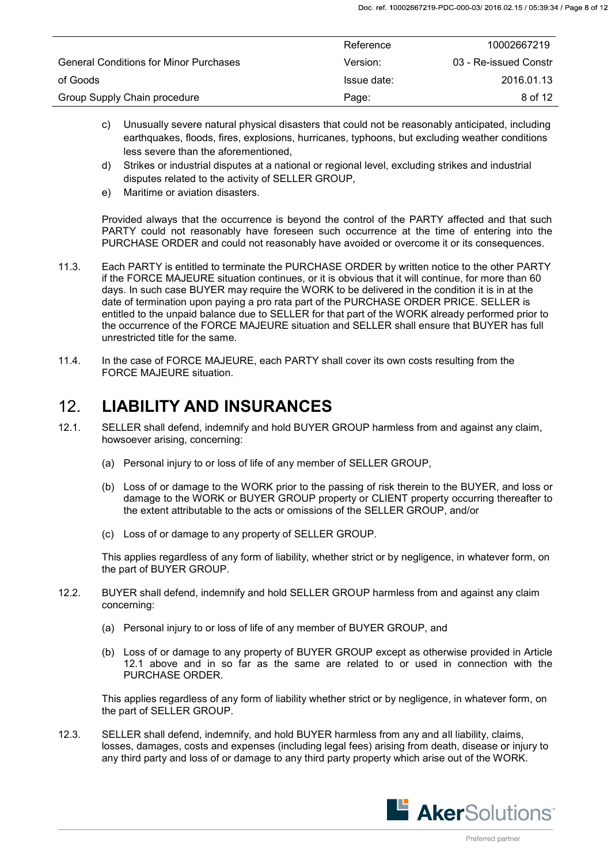|                                               | Reference   | 10002667219           |
|-----------------------------------------------|-------------|-----------------------|
| <b>General Conditions for Minor Purchases</b> | Version:    | 03 - Re-issued Constr |
| of Goods                                      | Issue date: | 2016.01.13            |
| Group Supply Chain procedure                  | Page:       | 8 of 12               |

- c) Unusually severe natural physical disasters that could not be reasonably anticipated, including earthquakes, floods, fires, explosions, hurricanes, typhoons, but excluding weather conditions less severe than the aforementioned,
- d) Strikes or industrial disputes at a national or regional level, excluding strikes and industrial disputes related to the activity of SELLER GROUP,
- e) Maritime or aviation disasters.

 Provided always that the occurrence is beyond the control of the PARTY affected and that such PARTY could not reasonably have foreseen such occurrence at the time of entering into the PURCHASE ORDER and could not reasonably have avoided or overcome it or its consequences.

- 11.3. Each PARTY is entitled to terminate the PURCHASE ORDER by written notice to the other PARTY if the FORCE MAJEURE situation continues, or it is obvious that it will continue, for more than 60 days. In such case BUYER may require the WORK to be delivered in the condition it is in at the date of termination upon paying a pro rata part of the PURCHASE ORDER PRICE. SELLER is entitled to the unpaid balance due to SELLER for that part of the WORK already performed prior to the occurrence of the FORCE MAJEURE situation and SELLER shall ensure that BUYER has full unrestricted title for the same.
- 11.4. In the case of FORCE MAJEURE, each PARTY shall cover its own costs resulting from the FORCE MAJEURE situation.

### <span id="page-7-0"></span>12. **LIABILITY AND INSURANCES**

- 12.1. SELLER shall defend, indemnify and hold BUYER GROUP harmless from and against any claim, howsoever arising, concerning:
	- (a) Personal injury to or loss of life of any member of SELLER GROUP,
	- (b) Loss of or damage to the WORK prior to the passing of risk therein to the BUYER, and loss or damage to the WORK or BUYER GROUP property or CLIENT property occurring thereafter to the extent attributable to the acts or omissions of the SELLER GROUP, and/or
	- (c) Loss of or damage to any property of SELLER GROUP.

This applies regardless of any form of liability, whether strict or by negligence, in whatever form, on the part of BUYER GROUP.

- 12.2. BUYER shall defend, indemnify and hold SELLER GROUP harmless from and against any claim concerning:
	- (a) Personal injury to or loss of life of any member of BUYER GROUP, and
	- (b) Loss of or damage to any property of BUYER GROUP except as otherwise provided in Article 12.1 above and in so far as the same are related to or used in connection with the PURCHASE ORDER.

This applies regardless of any form of liability whether strict or by negligence, in whatever form, on the part of SELLER GROUP.

12.3. SELLER shall defend, indemnify, and hold BUYER harmless from any and all liability, claims, losses, damages, costs and expenses (including legal fees) arising from death, disease or injury to any third party and loss of or damage to any third party property which arise out of the WORK.

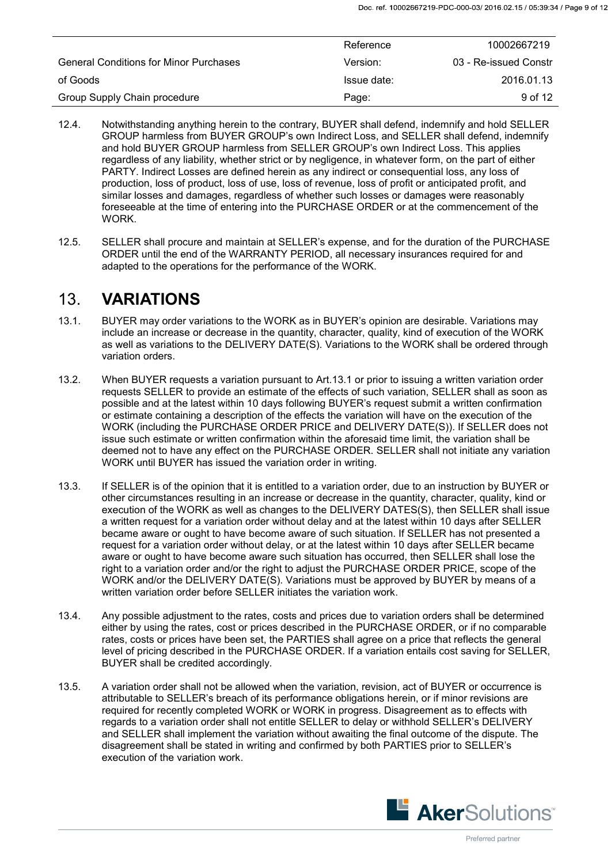|                                               | Reference   | 10002667219           |
|-----------------------------------------------|-------------|-----------------------|
| <b>General Conditions for Minor Purchases</b> | Version:    | 03 - Re-issued Constr |
| of Goods                                      | Issue date: | 2016.01.13            |
| Group Supply Chain procedure                  | Page:       | 9 <sub>of</sub> 12    |

- 12.4. Notwithstanding anything herein to the contrary, BUYER shall defend, indemnify and hold SELLER GROUP harmless from BUYER GROUP's own Indirect Loss, and SELLER shall defend, indemnify and hold BUYER GROUP harmless from SELLER GROUP's own Indirect Loss. This applies regardless of any liability, whether strict or by negligence, in whatever form, on the part of either PARTY. Indirect Losses are defined herein as any indirect or consequential loss, any loss of production, loss of product, loss of use, loss of revenue, loss of profit or anticipated profit, and similar losses and damages, regardless of whether such losses or damages were reasonably foreseeable at the time of entering into the PURCHASE ORDER or at the commencement of the WORK.
- 12.5. SELLER shall procure and maintain at SELLER's expense, and for the duration of the PURCHASE ORDER until the end of the WARRANTY PERIOD, all necessary insurances required for and adapted to the operations for the performance of the WORK.

### <span id="page-8-0"></span>13. **VARIATIONS**

- 13.1. BUYER may order variations to the WORK as in BUYER's opinion are desirable. Variations may include an increase or decrease in the quantity, character, quality, kind of execution of the WORK as well as variations to the DELIVERY DATE(S). Variations to the WORK shall be ordered through variation orders.
- 13.2. When BUYER requests a variation pursuant to Art.13.1 or prior to issuing a written variation order requests SELLER to provide an estimate of the effects of such variation, SELLER shall as soon as possible and at the latest within 10 days following BUYER's request submit a written confirmation or estimate containing a description of the effects the variation will have on the execution of the WORK (including the PURCHASE ORDER PRICE and DELIVERY DATE(S)). If SELLER does not issue such estimate or written confirmation within the aforesaid time limit, the variation shall be deemed not to have any effect on the PURCHASE ORDER. SELLER shall not initiate any variation WORK until BUYER has issued the variation order in writing.
- 13.3. If SELLER is of the opinion that it is entitled to a variation order, due to an instruction by BUYER or other circumstances resulting in an increase or decrease in the quantity, character, quality, kind or execution of the WORK as well as changes to the DELIVERY DATES(S), then SELLER shall issue a written request for a variation order without delay and at the latest within 10 days after SELLER became aware or ought to have become aware of such situation. If SELLER has not presented a request for a variation order without delay, or at the latest within 10 days after SELLER became aware or ought to have become aware such situation has occurred, then SELLER shall lose the right to a variation order and/or the right to adjust the PURCHASE ORDER PRICE, scope of the WORK and/or the DELIVERY DATE(S). Variations must be approved by BUYER by means of a written variation order before SELLER initiates the variation work.
- 13.4. Any possible adjustment to the rates, costs and prices due to variation orders shall be determined either by using the rates, cost or prices described in the PURCHASE ORDER, or if no comparable rates, costs or prices have been set, the PARTIES shall agree on a price that reflects the general level of pricing described in the PURCHASE ORDER. If a variation entails cost saving for SELLER, BUYER shall be credited accordingly.
- 13.5. A variation order shall not be allowed when the variation, revision, act of BUYER or occurrence is attributable to SELLER's breach of its performance obligations herein, or if minor revisions are required for recently completed WORK or WORK in progress. Disagreement as to effects with regards to a variation order shall not entitle SELLER to delay or withhold SELLER's DELIVERY and SELLER shall implement the variation without awaiting the final outcome of the dispute. The disagreement shall be stated in writing and confirmed by both PARTIES prior to SELLER's execution of the variation work.

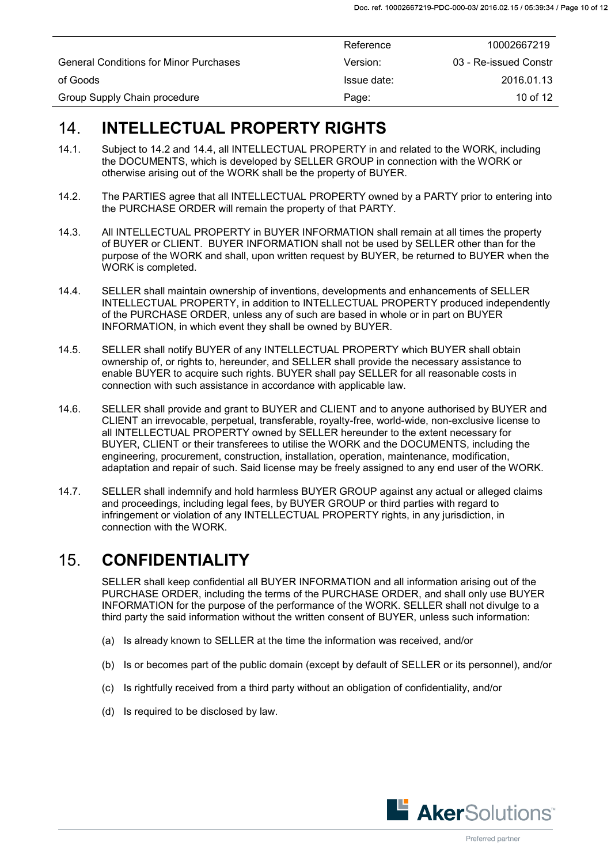|                                               | Reference   | 10002667219           |
|-----------------------------------------------|-------------|-----------------------|
| <b>General Conditions for Minor Purchases</b> | Version:    | 03 - Re-issued Constr |
| of Goods                                      | Issue date: | 2016.01.13            |
| Group Supply Chain procedure                  | Page:       | 10 of 12              |

## <span id="page-9-0"></span>14. **INTELLECTUAL PROPERTY RIGHTS**

- 14.1. Subject to 14.2 and 14.4, all INTELLECTUAL PROPERTY in and related to the WORK, including the DOCUMENTS, which is developed by SELLER GROUP in connection with the WORK or otherwise arising out of the WORK shall be the property of BUYER.
- 14.2. The PARTIES agree that all INTELLECTUAL PROPERTY owned by a PARTY prior to entering into the PURCHASE ORDER will remain the property of that PARTY.
- 14.3. All INTELLECTUAL PROPERTY in BUYER INFORMATION shall remain at all times the property of BUYER or CLIENT. BUYER INFORMATION shall not be used by SELLER other than for the purpose of the WORK and shall, upon written request by BUYER, be returned to BUYER when the WORK is completed.
- 14.4. SELLER shall maintain ownership of inventions, developments and enhancements of SELLER INTELLECTUAL PROPERTY, in addition to INTELLECTUAL PROPERTY produced independently of the PURCHASE ORDER, unless any of such are based in whole or in part on BUYER INFORMATION, in which event they shall be owned by BUYER.
- 14.5. SELLER shall notify BUYER of any INTELLECTUAL PROPERTY which BUYER shall obtain ownership of, or rights to, hereunder, and SELLER shall provide the necessary assistance to enable BUYER to acquire such rights. BUYER shall pay SELLER for all reasonable costs in connection with such assistance in accordance with applicable law.
- 14.6. SELLER shall provide and grant to BUYER and CLIENT and to anyone authorised by BUYER and CLIENT an irrevocable, perpetual, transferable, royalty-free, world-wide, non-exclusive license to all INTELLECTUAL PROPERTY owned by SELLER hereunder to the extent necessary for BUYER, CLIENT or their transferees to utilise the WORK and the DOCUMENTS, including the engineering, procurement, construction, installation, operation, maintenance, modification, adaptation and repair of such. Said license may be freely assigned to any end user of the WORK.
- 14.7. SELLER shall indemnify and hold harmless BUYER GROUP against any actual or alleged claims and proceedings, including legal fees, by BUYER GROUP or third parties with regard to infringement or violation of any INTELLECTUAL PROPERTY rights, in any jurisdiction, in connection with the WORK.

## <span id="page-9-1"></span>15. **CONFIDENTIALITY**

SELLER shall keep confidential all BUYER INFORMATION and all information arising out of the PURCHASE ORDER, including the terms of the PURCHASE ORDER, and shall only use BUYER INFORMATION for the purpose of the performance of the WORK. SELLER shall not divulge to a third party the said information without the written consent of BUYER, unless such information:

- (a) Is already known to SELLER at the time the information was received, and/or
- (b) Is or becomes part of the public domain (except by default of SELLER or its personnel), and/or
- (c) Is rightfully received from a third party without an obligation of confidentiality, and/or
- (d) Is required to be disclosed by law.

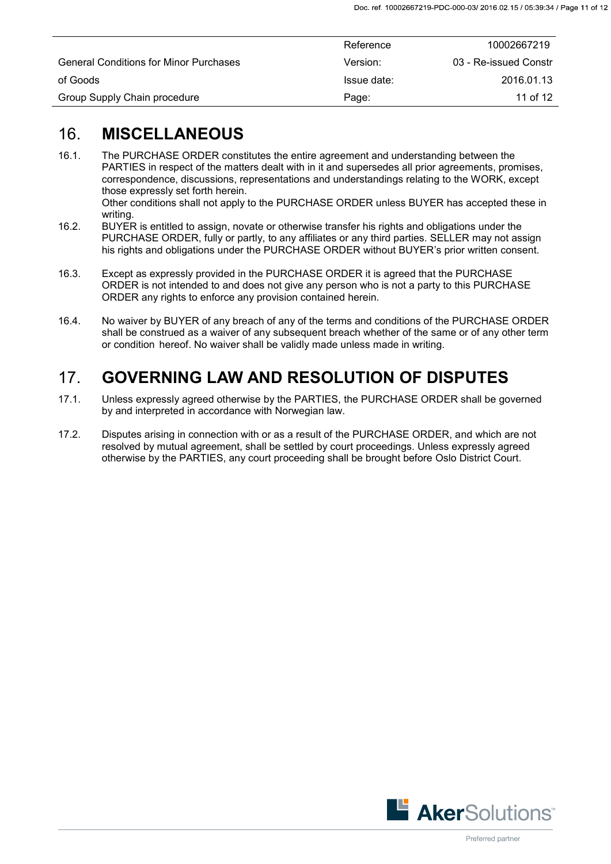|                                               | Reference   | 10002667219           |
|-----------------------------------------------|-------------|-----------------------|
| <b>General Conditions for Minor Purchases</b> | Version:    | 03 - Re-issued Constr |
| of Goods                                      | Issue date: | 2016.01.13            |
| Group Supply Chain procedure                  | Page:       | 11 of 12              |

## <span id="page-10-0"></span>16. **MISCELLANEOUS**

- 16.1. The PURCHASE ORDER constitutes the entire agreement and understanding between the PARTIES in respect of the matters dealt with in it and supersedes all prior agreements, promises, correspondence, discussions, representations and understandings relating to the WORK, except those expressly set forth herein.
	- Other conditions shall not apply to the PURCHASE ORDER unless BUYER has accepted these in writing.
- 16.2. BUYER is entitled to assign, novate or otherwise transfer his rights and obligations under the PURCHASE ORDER, fully or partly, to any affiliates or any third parties. SELLER may not assign his rights and obligations under the PURCHASE ORDER without BUYER's prior written consent.
- 16.3. Except as expressly provided in the PURCHASE ORDER it is agreed that the PURCHASE ORDER is not intended to and does not give any person who is not a party to this PURCHASE ORDER any rights to enforce any provision contained herein.
- 16.4. No waiver by BUYER of any breach of any of the terms and conditions of the PURCHASE ORDER shall be construed as a waiver of any subsequent breach whether of the same or of any other term or condition hereof. No waiver shall be validly made unless made in writing.

## <span id="page-10-1"></span>17. **GOVERNING LAW AND RESOLUTION OF DISPUTES**

- 17.1. Unless expressly agreed otherwise by the PARTIES, the PURCHASE ORDER shall be governed by and interpreted in accordance with Norwegian law.
- 17.2. Disputes arising in connection with or as a result of the PURCHASE ORDER, and which are not resolved by mutual agreement, shall be settled by court proceedings. Unless expressly agreed otherwise by the PARTIES, any court proceeding shall be brought before Oslo District Court.